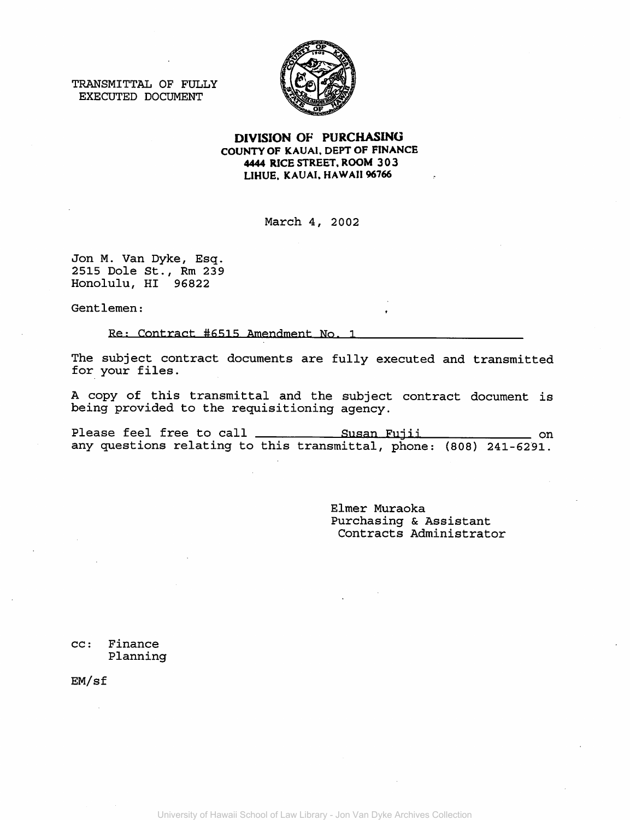TRANSMITTAL OF FULLY EXECUTED DOCUMENT



DIVISION OF PURCHASING COUNTY OF KAUAl. DEPT OF FINANCE 4444 RICE STREET. ROOM 303 LIHUE. KAUAI, HAWAII 96766

March 4, 2002

Jon M. Van Dyke, Esq. 2515 Dole St., Rm 239 Honolulu, HI 96822

Gentlemen:

Re: Contract #6515 Amendment No. 1

The subject contract documents are fully executed and transmitted for your files.

A copy of this transmittal and the subject contract document is being provided to the requisitioning agency.

Please feel free to call \_\_\_\_\_\_\_\_\_\_\_\_\_\_ Susan Fujii \_\_\_\_\_\_\_\_\_\_\_\_\_\_ on any questions relating to this transmittal, phone: (808) 241-6291.

> Elmer Muraoka Purchasing & Assistant Contracts Administrator

cc: Finance Planning

EM/sf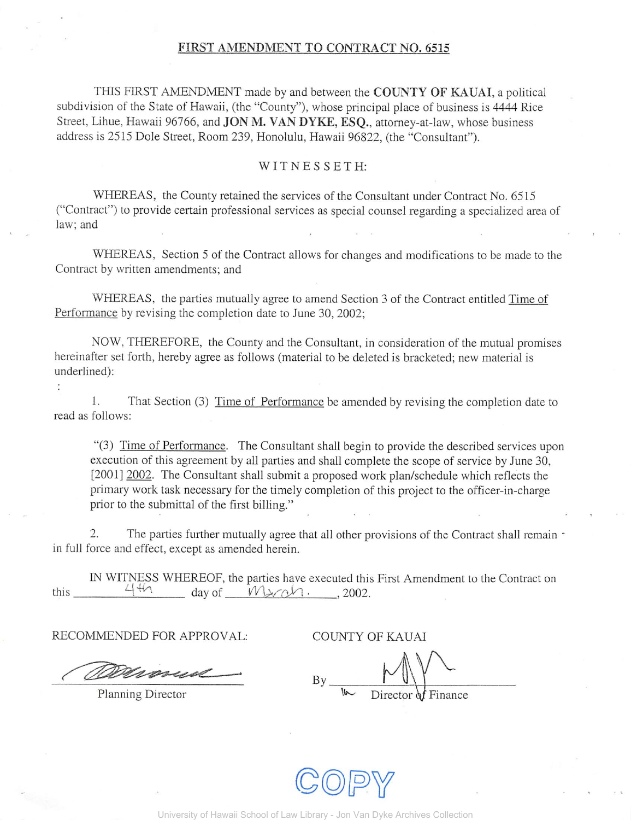## FIRST AMENDMENT TO CONTRACT NO. 6515

THIS FIRST AMENDMENT made by and between the COUNTY OF KAUAI, a political subdivision of the State of Hawaii, (the "County"), whose principal place of business is 4444 Rice Street, Lihue, Hawaii 96766, and JON M. VAN DYKE, ESQ., attorney-at-law, whose business address is 2515 Dole Street, Room 239, Honolulu, Hawaii 96822, (the "Consultant").

## $W$ I T N E S S E T H:

WHEREAS, the County retained the services of the Consultant under Contract No. 6515 ("Contract") to provide certain professional services as special counsel regarding a specialized area of law; and

WHEREAS, Section 5 of the Contract allows for changes and modifications to be made to the Contract by written amendments; and

WHEREAS, the parties mutually agree to amend Section 3 of the Contract entitled Time of Performance by revising the completion date to June 30, 2002;

NOW, THEREFORE, the County and the Consultant, in consideration of the mutual promises hereinafter set forth, hereby agree as follows (material to be deleted is bracketed; new material is underlined):

1. That Section (3) Time of Performance be amended by revising the completion date to read as follows:

"(3) Time of Performance. The Consultant shall begin to provide the described services upon execution of this agreement by all parties and shall complete the scope of service by June 30, [2001] 2002. The Consultant shall submit a proposed work plan/schedule which reflects the primary work task necessary for the timely completion of this project to the officer-in-charge prior to the submittal of the first billing."

2. The parties further mutually agree that all other provisions of the Contract shall remain  $\sim$ in full force and effect, except as amended herein.

IN WITNESS WHEREOF, the parties have executed this First Amendment to the Contract on  $4\frac{4}{\sqrt{2}}$ this  $4\,$ th day of  $W$  $\sim$   $\alpha$ . , 2002.

RECOMMENDED FOR APPROVAL:

**COUNTY OF KAUAI** 

ammend

Planning Director

By Director of Finance

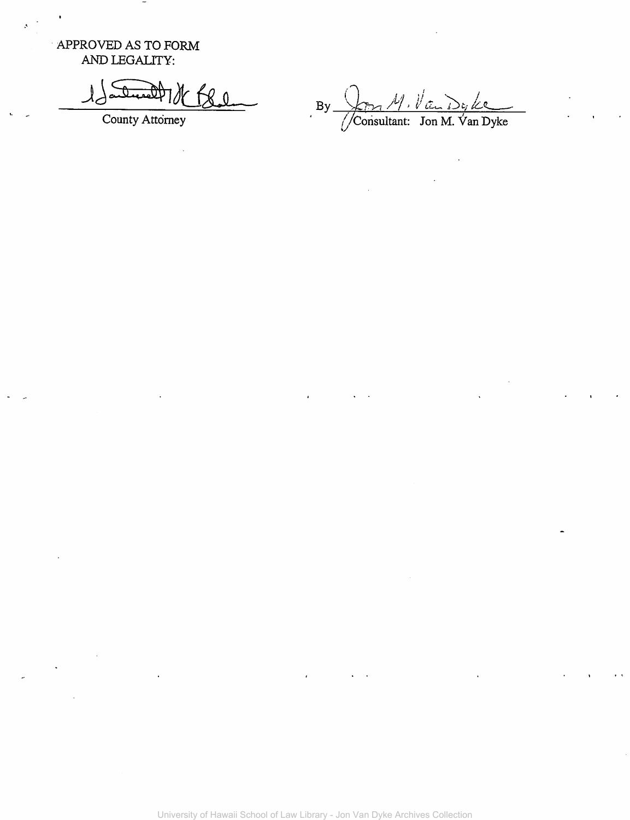APPROVED AS TO FORM AND LEGALITY:

 $\pmb{\mathcal{R}}$  0

County Attorney

 $\mathbf{B}$ y  $\frac{\sqrt{1}}{\sqrt{\text{Constant: } \text{ Jon } M. \text{ Van } D}}$ y ke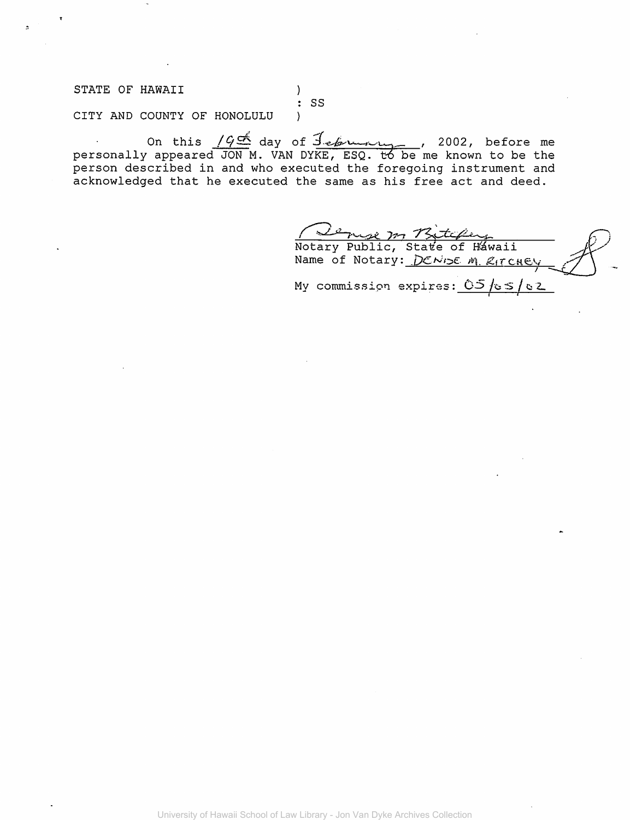STATE OF HAWAII  $\mathcal{V}$  $:$  SS CITY AND COUNTY OF HONOLULU  $\mathcal{E}$ 

On this  $\frac{1966}{100}$  day of  $\frac{7.66}{100}$  or  $\frac{1}{100}$ , before me personally appeared JON M. VAN DYKE, ESQ. to be me known to be the person described in and who executed the foregoing instrument and acknowledged that he executed the same as his free act and deed.

Notary Public, State of Hawaii Name of Notary: DENISE M. RITCHEY My commission expires:  $05/65/62$